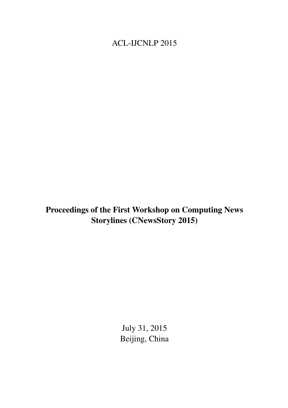<span id="page-0-0"></span>ACL-IJCNLP 2015

Proceedings of the First Workshop on Computing News Storylines (CNewsStory 2015)

> July 31, 2015 Beijing, China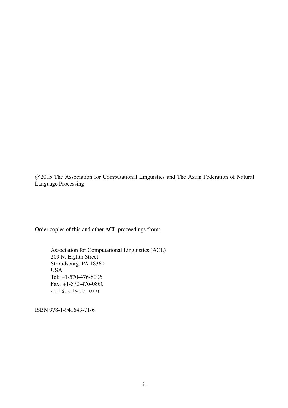c 2015 The Association for Computational Linguistics and The Asian Federation of Natural Language Processing

Order copies of this and other ACL proceedings from:

Association for Computational Linguistics (ACL) 209 N. Eighth Street Stroudsburg, PA 18360 USA Tel: +1-570-476-8006 Fax: +1-570-476-0860 acl@aclweb.org

ISBN 978-1-941643-71-6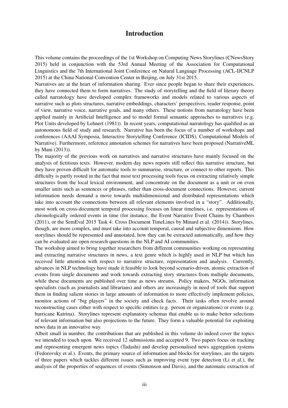### Introduction

This volume contains the proceedings of the 1st Workshop on Computing News Storylines (CNewsStory 2015) held in conjunction with the 53rd Annual Meeting of the Association for Computational Linguistics and the 7th International Joint Conference on Natural Language Processing (ACL-IJCNLP 2015) at the China National Convention Center in Beijing, on July 31st 2015.

Narratives are at the heart of information sharing. Ever since people began to share their experiences, they have connected them to form narratives. The study of storytelling and the field of literary theory called narratology have developed complex frameworks and models related to various aspects of narrative such as plots structures, narrative embeddings, characters' perspectives, reader response, point of view, narrative voice, narrative goals, and many others. These notions from narratology have been applied mainly in Artificial Intelligence and to model formal semantic approaches to narratives (e.g. Plot Units developed by Lehnert (1981)). In recent years, computational narratology has qualified as an autonomous field of study and research. Narrative has been the focus of a number of workshops and conferences (AAAI Symposia, Interactive Storytelling Conference (ICIDS), Computational Models of Narrative). Furthermore, reference annotation schemes for narratives have been proposed (NarrativeML by Mani (2013)).

The majority of the previous work on narratives and narrative structures have mainly focused on the analysis of fictitious texts. However, modern day news reports still reflect this narrative structure, but they have proven difficult for automatic tools to summarise, structure, or connect to other reports. This difficulty is partly rooted in the fact that most text processing tools focus on extracting relatively simple structures from the local lexical environment, and concentrate on the document as a unit or on even smaller units such as sentences or phrases, rather than cross-document connections. However, current information needs demand a move towards multidimensional and distributed representations which take into account the connections between all relevant elements involved in a "story". Additionally, most work on cross-document temporal processing focuses on linear timelines, i.e. representations of chronologically ordered events in time (for instance, the Event Narrative Event Chains by Chambers (2011), or the SemEval 2015 Task 4: Cross Document TimeLines by Minard et al. (2014)). Storylines, though, are more complex, and must take into account temporal, causal and subjective dimensions. How storylines should be represented and annotated, how they can be extracted automatically, and how they can be evaluated are open research questions in the NLP and AI communities.

The workshop aimed to bring together researchers from different communities working on representing and extracting narrative structures in news, a text genre which is highly used in NLP but which has received little attention with respect to narrative structure, representation and analysis. Currently, advances in NLP technology have made it feasible to look beyond scenario-driven, atomic extraction of events from single documents and work towards extracting story structures from multiple documents, while these documents are published over time as news streams. Policy makers, NGOs, information specialists (such as journalists and librarians) and others are increasingly in need of tools that support them in finding salient stories in large amounts of information to more effectively implement policies, monitor actions of "big players" in the society and check facts. Their tasks often revolve around reconstructing cases either with respect to specific entities (e.g. person or organizations) or events (e.g. hurricane Katrina). Storylines represent explanatory schemas that enable us to make better selections of relevant information but also projections to the future. They form a valuable potential for exploiting news data in an innovative way.

Albeit small in number, the contributions that are published in this volume do indeed cover the topics we intended to touch upon. We received 12 submissions and accepted 9. Two papers focus on tracking and representing emergent news topics (Tadashi) and develop personalised news aggregation systems (Fedorovsky et al.). Events, the primary source of information and blocks for storylines, are the targets of three papers which tackles different issues such as improving event type detection (Li et al.), the analysis of the properties of sequences of events (Simonson and Davis), and the automatic extraction of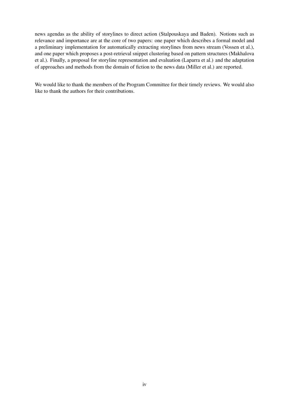news agendas as the ability of storylines to direct action (Stalpouskaya and Baden). Notions such as relevance and importance are at the core of two papers: one paper which describes a formal model and a preliminary implementation for automatically extracting storylines from news stream (Vossen et al.), and one paper which proposes a post-retrieval snippet clustering based on pattern structures (Makhalova et al.). Finally, a proposal for storyline representation and evaluation (Laparra et al.) and the adaptation of approaches and methods from the domain of fiction to the news data (Miller et al.) are reported.

We would like to thank the members of the Program Committee for their timely reviews. We would also like to thank the authors for their contributions.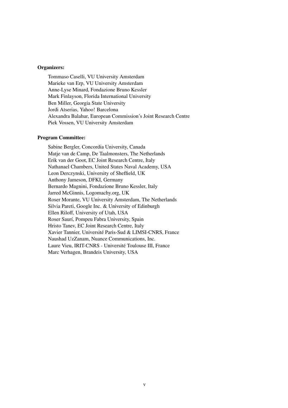#### Organizers:

Tommaso Caselli, VU University Amsterdam Marieke van Erp, VU University Amsterdam Anne-Lyse Minard, Fondazione Bruno Kessler Mark Finlayson, Florida International University Ben Miller, Georgia State University Jordi Atserias, Yahoo! Barcelona Alexandra Balahur, European Commission's Joint Research Centre Piek Vossen, VU University Amsterdam

#### Program Committee:

Sabine Bergler, Concordia University, Canada Matje van de Camp, De Taalmonsters, The Netherlands Erik van der Goot, EC Joint Research Centre, Italy Nathanael Chambers, United States Naval Academy, USA Leon Derczynski, University of Sheffield, UK Anthony Jameson, DFKI, Germany Bernardo Magnini, Fondazione Bruno Kessler, Italy Jarred McGinnis, Logomachy.org, UK Roser Morante, VU University Amsterdam, The Netherlands Silvia Pareti, Google Inc. & University of Edinburgh Ellen Riloff, University of Utah, USA Roser Saurí, Pompeu Fabra University, Spain Hristo Tanev, EC Joint Research Centre, Italy Xavier Tannier, Université Paris-Sud & LIMSI-CNRS, France Naushad UzZanam, Nuance Communications, Inc. Laure Vieu, IRIT-CNRS - Université Toulouse III, France Marc Verhagen, Brandeis University, USA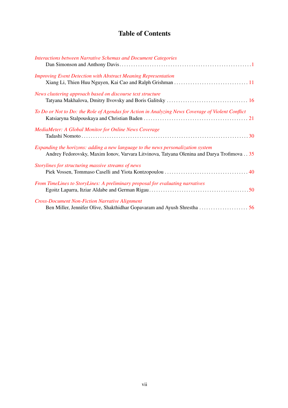## Table of Contents

| <b>Interactions between Narrative Schemas and Document Categories</b>                                                                                                         |
|-------------------------------------------------------------------------------------------------------------------------------------------------------------------------------|
| <b>Improving Event Detection with Abstract Meaning Representation</b>                                                                                                         |
| News clustering approach based on discourse text structure                                                                                                                    |
| To Do or Not to Do: the Role of Agendas for Action in Analyzing News Coverage of Violent Conflict                                                                             |
| MediaMeter: A Global Monitor for Online News Coverage                                                                                                                         |
| Expanding the horizons: adding a new language to the news personalization system<br>Andrey Fedorovsky, Maxim Ionov, Varvara Litvinova, Tatyana Olenina and Darya Trofimova 35 |
| Storylines for structuring massive streams of news                                                                                                                            |
| From TimeLines to StoryLines: A preliminary proposal for evaluating narratives                                                                                                |
| <b>Cross-Document Non-Fiction Narrative Alignment</b>                                                                                                                         |